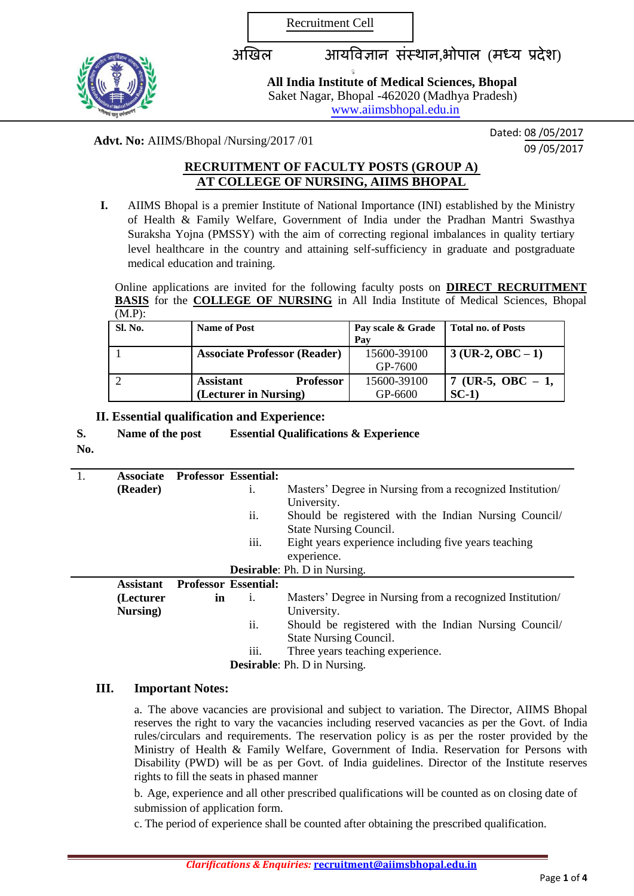Recruitment Cell

ु



अखिल आयविज्ञान संस्थान,भोपाल (मध्य प्रदेश)

**All India Institute of Medical Sciences, Bhopal** Saket Nagar, Bhopal -462020 (Madhya Pradesh) [www.aiimsbhopal.edu.in](http://www.aiimsbhopal.edu.in/)

**Advt. No:** AIIMS/Bhopal /Nursing/2017 /01 Dated: 08 /05/2017

 $\overline{09/05/2017}$ 

# **RECRUITMENT OF FACULTY POSTS (GROUP A) AT COLLEGE OF NURSING, AIIMS BHOPAL**

**I.** AIIMS Bhopal is a premier Institute of National Importance (INI) established by the Ministry of Health & Family Welfare, Government of India under the Pradhan Mantri Swasthya Suraksha Yojna (PMSSY) with the aim of correcting regional imbalances in quality tertiary level healthcare in the country and attaining self-sufficiency in graduate and postgraduate medical education and training.

Online applications are invited for the following faculty posts on **DIRECT RECRUITMENT BASIS** for the **COLLEGE OF NURSING** in All India Institute of Medical Sciences, Bhopal  $(MAD)$ 

| Sl. No. | <b>Name of Post</b>                                           | Pay scale & Grade<br>Pav | <b>Total no. of Posts</b>     |
|---------|---------------------------------------------------------------|--------------------------|-------------------------------|
|         | <b>Associate Professor (Reader)</b>                           | 15600-39100<br>GP-7600   | $3$ (UR-2, OBC – 1)           |
|         | <b>Professor</b><br><b>Assistant</b><br>(Lecturer in Nursing) | 15600-39100<br>GP-6600   | 7 (UR-5, OBC $-1$ ,<br>$SC-1$ |

**II. Essential qualification and Experience:**

**S. Name of the post Essential Qualifications & Experience**

**No.**

| 1.                                  |                                                                                                                                                                                    | <b>Associate</b> Professor Essential: |                             |                                                           |
|-------------------------------------|------------------------------------------------------------------------------------------------------------------------------------------------------------------------------------|---------------------------------------|-----------------------------|-----------------------------------------------------------|
|                                     | (Reader)                                                                                                                                                                           |                                       | 1.                          | Masters' Degree in Nursing from a recognized Institution  |
|                                     |                                                                                                                                                                                    |                                       |                             | University.                                               |
|                                     |                                                                                                                                                                                    |                                       | ii.                         | Should be registered with the Indian Nursing Council/     |
|                                     |                                                                                                                                                                                    |                                       |                             | <b>State Nursing Council.</b>                             |
|                                     |                                                                                                                                                                                    |                                       | iii.                        | Eight years experience including five years teaching      |
|                                     |                                                                                                                                                                                    |                                       |                             | experience.                                               |
| <b>Desirable:</b> Ph. D in Nursing. |                                                                                                                                                                                    |                                       |                             |                                                           |
|                                     | <b>Assistant</b>                                                                                                                                                                   |                                       | <b>Professor Essential:</b> |                                                           |
|                                     | (Lecturer                                                                                                                                                                          | in                                    | 1.                          | Masters' Degree in Nursing from a recognized Institution/ |
|                                     | Nursing)                                                                                                                                                                           |                                       |                             | University.                                               |
|                                     |                                                                                                                                                                                    |                                       | ii.                         | Should be registered with the Indian Nursing Council/     |
|                                     |                                                                                                                                                                                    |                                       |                             | <b>State Nursing Council.</b>                             |
|                                     |                                                                                                                                                                                    |                                       | $\cdots$<br>111.            | Three years teaching experience.                          |
|                                     | $\mathbf{D}_{\alpha\alpha}$ is $\mathbf{D}_{\alpha\alpha}$ , $\mathbf{D}_{\alpha\alpha}$ , $\mathbf{D}_{\alpha\alpha}$ , $\mathbf{D}_{\alpha\alpha}$ , $\mathbf{D}_{\alpha\alpha}$ |                                       |                             |                                                           |

**Desirable**: Ph. D in Nursing.

# **III. Important Notes:**

a. The above vacancies are provisional and subject to variation. The Director, AIIMS Bhopal reserves the right to vary the vacancies including reserved vacancies as per the Govt. of India rules/circulars and requirements. The reservation policy is as per the roster provided by the Ministry of Health & Family Welfare, Government of India. Reservation for Persons with Disability (PWD) will be as per Govt. of India guidelines. Director of the Institute reserves rights to fill the seats in phased manner

b. Age, experience and all other prescribed qualifications will be counted as on closing date of submission of application form.

c. The period of experience shall be counted after obtaining the prescribed qualification.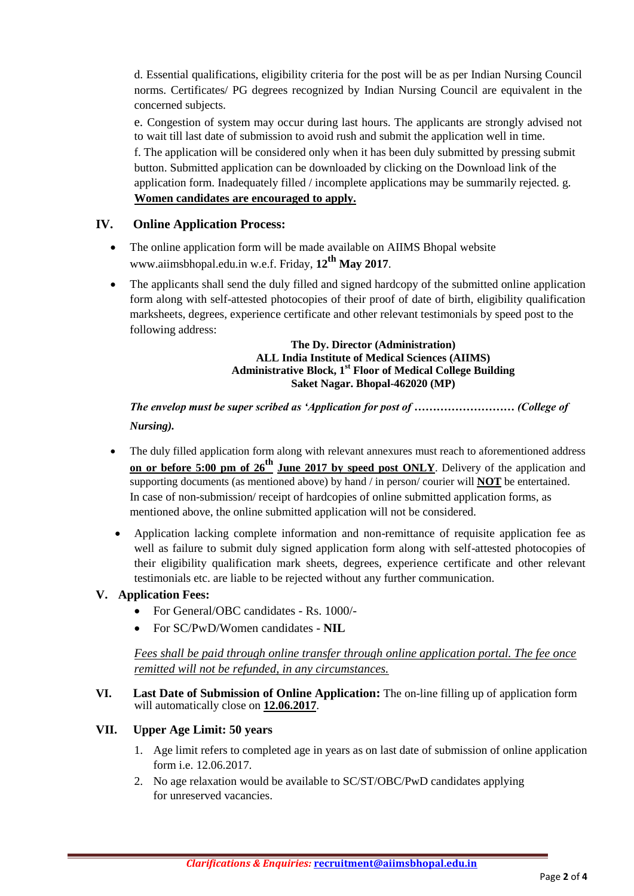d. Essential qualifications, eligibility criteria for the post will be as per Indian Nursing Council norms. Certificates/ PG degrees recognized by Indian Nursing Council are equivalent in the concerned subjects.

e. Congestion of system may occur during last hours. The applicants are strongly advised not to wait till last date of submission to avoid rush and submit the application well in time.

f. The application will be considered only when it has been duly submitted by pressing submit button. Submitted application can be downloaded by clicking on the Download link of the application form. Inadequately filled / incomplete applications may be summarily rejected. g. **Women candidates are encouraged to apply.**

## **IV. Online Application Process:**

- The online application form will be made available on AIIMS Bhopal website www.aiimsbhopal.edu.in w.e.f. Friday, **12th May 2017**.
- The applicants shall send the duly filled and signed hardcopy of the submitted online application form along with self-attested photocopies of their proof of date of birth, eligibility qualification marksheets, degrees, experience certificate and other relevant testimonials by speed post to the following address:

#### **The Dy. Director (Administration) ALL India Institute of Medical Sciences (AIIMS) Administrative Block, 1st Floor of Medical College Building Saket Nagar. Bhopal-462020 (MP)**

# *The envelop must be super scribed as 'Application for post of ……………………… (College of Nursing).*

- The duly filled application form along with relevant annexures must reach to aforementioned address **on or before 5:00 pm of 26th June 2017 by speed post ONLY**. Delivery of the application and supporting documents (as mentioned above) by hand / in person/ courier will **NOT** be entertained. In case of non-submission/ receipt of hardcopies of online submitted application forms, as mentioned above, the online submitted application will not be considered.
- Application lacking complete information and non-remittance of requisite application fee as well as failure to submit duly signed application form along with self-attested photocopies of their eligibility qualification mark sheets, degrees, experience certificate and other relevant testimonials etc. are liable to be rejected without any further communication.

## **V. Application Fees:**

- For General/OBC candidates Rs. 1000/-
- For SC/PwD/Women candidates **NIL**

*Fees shall be paid through online transfer through online application portal. The fee once remitted will not be refunded, in any circumstances.*

#### **VI. Last Date of Submission of Online Application:** The on-line filling up of application form will automatically close on **12.06.2017**.

## **VII. Upper Age Limit: 50 years**

- 1. Age limit refers to completed age in years as on last date of submission of online application form i.e. 12.06.2017.
- 2. No age relaxation would be available to SC/ST/OBC/PwD candidates applying for unreserved vacancies.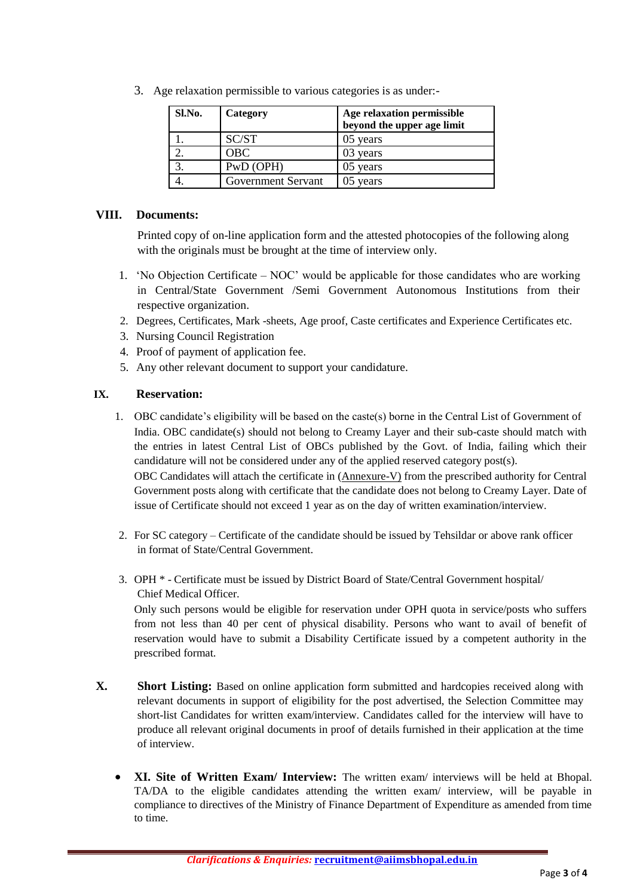3. Age relaxation permissible to various categories is as under:-

| Sl.No. | Category           | Age relaxation permissible<br>beyond the upper age limit |
|--------|--------------------|----------------------------------------------------------|
|        | SC/ST              | 05 years                                                 |
|        | OBC                | 03 years                                                 |
|        | PwD (OPH)          | 05 years                                                 |
|        | Government Servant | 05 years                                                 |

#### **VIII. Documents:**

Printed copy of on-line application form and the attested photocopies of the following along with the originals must be brought at the time of interview only.

- 1. 'No Objection Certificate NOC' would be applicable for those candidates who are working in Central/State Government /Semi Government Autonomous Institutions from their respective organization.
- 2. Degrees, Certificates, Mark -sheets, Age proof, Caste certificates and Experience Certificates etc.
- 3. Nursing Council Registration
- 4. Proof of payment of application fee.
- 5. Any other relevant document to support your candidature.

#### **IX. Reservation:**

- 1. OBC candidate's eligibility will be based on the caste(s) borne in the Central List of Government of India. OBC candidate(s) should not belong to Creamy Layer and their sub-caste should match with the entries in latest Central List of OBCs published by the Govt. of India, failing which their candidature will not be considered under any of the applied reserved category post(s). OBC Candidates will attach the certificate in (Annexure-V) from the prescribed authority for Central Government posts along with certificate that the candidate does not belong to Creamy Layer. Date of issue of Certificate should not exceed 1 year as on the day of written examination/interview.
- 2. For SC category Certificate of the candidate should be issued by Tehsildar or above rank officer in format of State/Central Government.
- 3. OPH \* Certificate must be issued by District Board of State/Central Government hospital/ Chief Medical Officer.

Only such persons would be eligible for reservation under OPH quota in service/posts who suffers from not less than 40 per cent of physical disability. Persons who want to avail of benefit of reservation would have to submit a Disability Certificate issued by a competent authority in the prescribed format.

- **X. Short Listing:** Based on online application form submitted and hardcopies received along with relevant documents in support of eligibility for the post advertised, the Selection Committee may short-list Candidates for written exam/interview. Candidates called for the interview will have to produce all relevant original documents in proof of details furnished in their application at the time of interview.
	- **XI. Site of Written Exam/ Interview:** The written exam/ interviews will be held at Bhopal. TA/DA to the eligible candidates attending the written exam/ interview, will be payable in compliance to directives of the Ministry of Finance Department of Expenditure as amended from time to time.